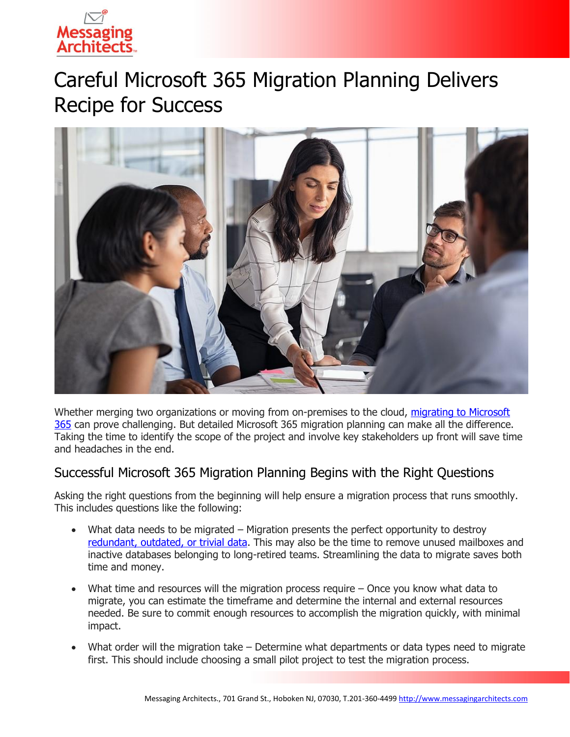

# Careful Microsoft 365 Migration Planning Delivers Recipe for Success



Whether merging two organizations or moving from on-premises to the cloud, [migrating to Microsoft](https://messagingarchitects.com/microsoft-365-2/)  [365](https://messagingarchitects.com/microsoft-365-2/) can prove challenging. But detailed Microsoft 365 migration planning can make all the difference. Taking the time to identify the scope of the project and involve key stakeholders up front will save time and headaches in the end.

### Successful Microsoft 365 Migration Planning Begins with the Right Questions

Asking the right questions from the beginning will help ensure a migration process that runs smoothly. This includes questions like the following:

- What data needs to be migrated Migration presents the perfect opportunity to destroy [redundant, outdated,](https://www.emazzanti.net/information-governance/) or trivial data. This may also be the time to remove unused mailboxes and inactive databases belonging to long-retired teams. Streamlining the data to migrate saves both time and money.
- What time and resources will the migration process require  $-$  Once you know what data to migrate, you can estimate the timeframe and determine the internal and external resources needed. Be sure to commit enough resources to accomplish the migration quickly, with minimal impact.
- What order will the migration take Determine what departments or data types need to migrate first. This should include choosing a small pilot project to test the migration process.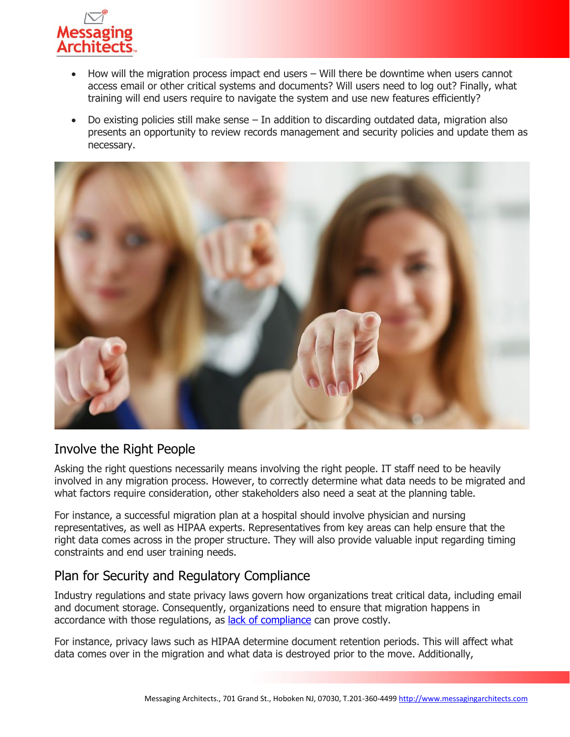

- How will the migration process impact end users Will there be downtime when users cannot access email or other critical systems and documents? Will users need to log out? Finally, what training will end users require to navigate the system and use new features efficiently?
- Do existing policies still make sense  $-$  In addition to discarding outdated data, migration also presents an opportunity to review records management and security policies and update them as necessary.



## Involve the Right People

Asking the right questions necessarily means involving the right people. IT staff need to be heavily involved in any migration process. However, to correctly determine what data needs to be migrated and what factors require consideration, other stakeholders also need a seat at the planning table.

For instance, a successful migration plan at a hospital should involve physician and nursing representatives, as well as HIPAA experts. Representatives from key areas can help ensure that the right data comes across in the proper structure. They will also provide valuable input regarding timing constraints and end user training needs.

### Plan for Security and Regulatory Compliance

Industry regulations and state privacy laws govern how organizations treat critical data, including email and document storage. Consequently, organizations need to ensure that migration happens in accordance with those regulations, as [lack of compliance](https://messagingarchitects.com/compliance-and-data-security-audits/) can prove costly.

For instance, privacy laws such as HIPAA determine document retention periods. This will affect what data comes over in the migration and what data is destroyed prior to the move. Additionally,